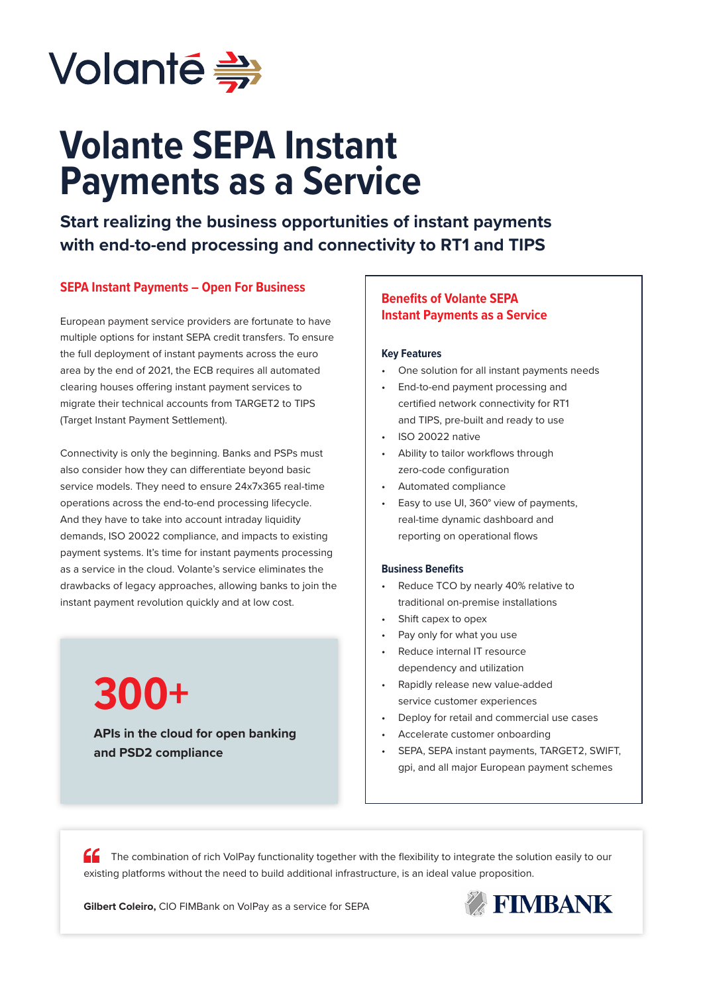

# **Volante SEPA Instant Payments as a Service**

**Start realizing the business opportunities of instant payments with end-to-end processing and connectivity to RT1 and TIPS**

## **SEPA Instant Payments – Open For Business**

European payment service providers are fortunate to have multiple options for instant SEPA credit transfers. To ensure the full deployment of instant payments across the euro area by the end of 2021, the ECB requires all automated clearing houses offering instant payment services to migrate their technical accounts from TARGET2 to TIPS (Target Instant Payment Settlement).

Connectivity is only the beginning. Banks and PSPs must also consider how they can differentiate beyond basic service models. They need to ensure 24x7x365 real-time operations across the end-to-end processing lifecycle. And they have to take into account intraday liquidity demands, ISO 20022 compliance, and impacts to existing payment systems. It's time for instant payments processing as a service in the cloud. Volante's service eliminates the drawbacks of legacy approaches, allowing banks to join the instant payment revolution quickly and at low cost.

> **APIs in the cloud for open banking and PSD2 compliance 300+**

# **Benefits of Volante SEPA Instant Payments as a Service**

#### **Key Features**

- One solution for all instant payments needs
- End-to-end payment processing and certified network connectivity for RT1 and TIPS, pre-built and ready to use
- ISO 20022 native
- Ability to tailor workflows through zero-code configuration
- Automated compliance
- Easy to use UI, 360° view of payments, real-time dynamic dashboard and reporting on operational flows

#### **Business Benefits**

- Reduce TCO by nearly 40% relative to traditional on-premise installations
- Shift capex to opex
- Pay only for what you use
- Reduce internal IT resource dependency and utilization
- Rapidly release new value-added service customer experiences
- Deploy for retail and commercial use cases
- Accelerate customer onboarding
- SEPA, SEPA instant payments, TARGET2, SWIFT, gpi, and all major European payment schemes

The combination of rich VolPay functionality together with the flexibility to integrate the solution easily to our existing platforms without the need to build additional infrastructure, is an ideal value proposition.

**Gilbert Coleiro,** CIO FIMBank on VolPay as a service for SEPA